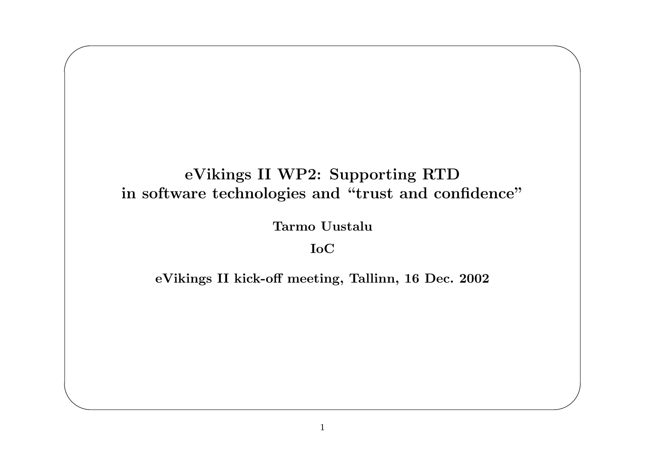### eVikings II WP2: Supporting RTD in software technologies and "trust and confidence"

**Tarmo Uustalu** 

**IoC** 

eVikings II kick-off meeting, Tallinn, 16 Dec. 2002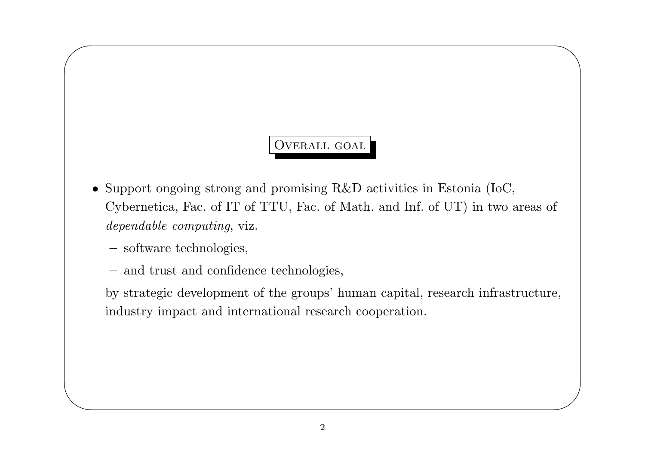# OVERALL GOAL

 $\bigwedge$ 

 $\bigvee$ 

- Support ongoing strong and promising R&D activities in Estonia (IoC, Cybernetica, Fac. of IT of TTU, Fac. of Math. and Inf. of UT) in two areas of dependable computing, viz.
	- software technologies,

 $\sqrt{2}$ 

 $\setminus$ 

– and trust and confidence technologies,

by strategic development of the groups' human capital, research infrastructure, industry impact and international research cooperation.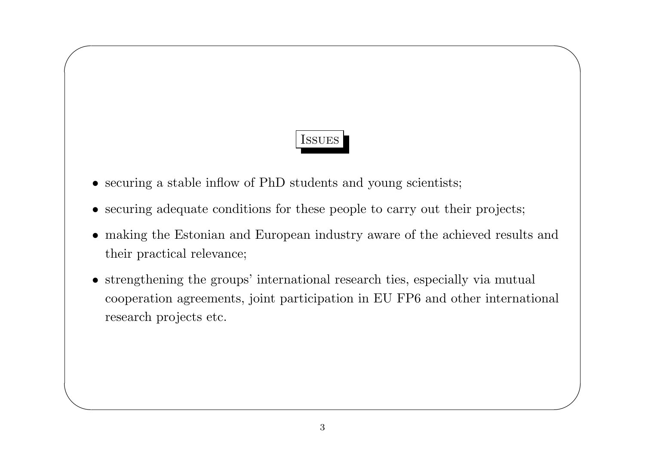# Issues

 $\bigwedge$ 

 $\bigvee$ 

• securing a stable inflow of PhD students and young scientists;

 $\sqrt{2}$ 

- securing adequate conditions for these people to carry out their projects;
- making the Estonian and European industry aware of the achieved results and their practical relevance;
- strengthening the groups' international research ties, especially via mutual cooperation agreements, joint participation in EU FP6 and other international research projects etc.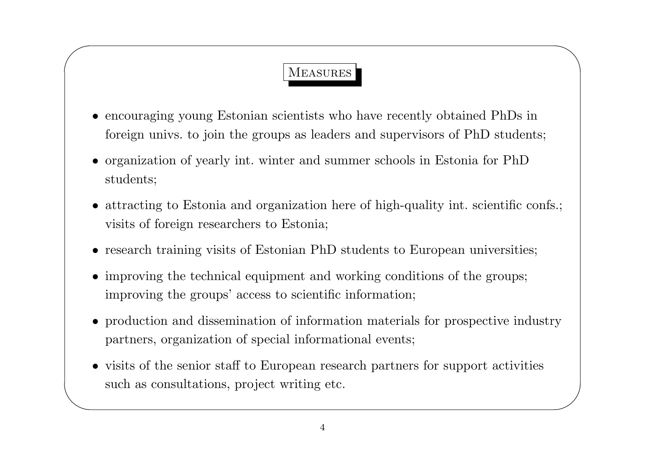# **MEASURES**

- encouraging young Estonian scientists who have recently obtained PhDs in foreign univs. to join the groups as leaders and supervisors of PhD students;
- $\bullet\,$  organization of yearly int. winter and summer schools in Estonia for PhD students;
- attracting to Estonia and organization here of high-quality int. scientific confs.; visits of foreign researchers to Estonia:
- research training visits of Estonian PhD students to European universities;
- improving the technical equipment and working conditions of the groups; improving the groups' access to scientific information;
- production and dissemination of information materials for prospective industry partners, organization of special informational events;
- visits of the senior staff to European research partners for support activities such as consultations, project writing etc.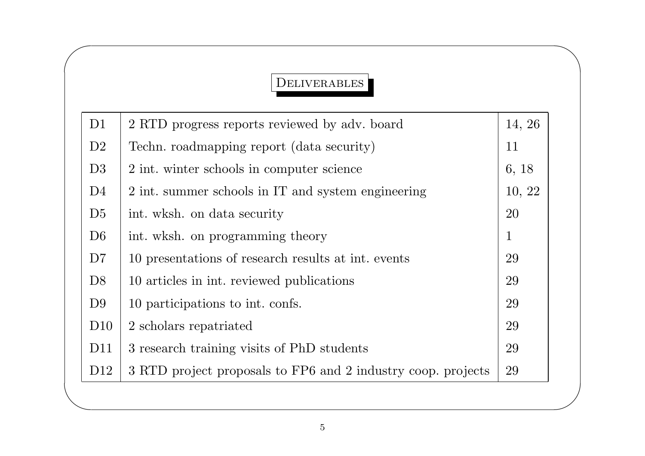### DELIVERABLES

 $\bigwedge$ 

 $\bigvee$ 

 $\sqrt{2}$ 

| D <sub>1</sub>  | 2 RTD progress reports reviewed by adv. board                | 14, 26       |
|-----------------|--------------------------------------------------------------|--------------|
| D2              | Techn. roadmapping report (data security)                    | 11           |
| D3              | 2 int. winter schools in computer science                    | 6, 18        |
| D <sub>4</sub>  | 2 int. summer schools in IT and system engineering           | 10, 22       |
| D5              | int. wksh. on data security                                  | 20           |
| D <sub>6</sub>  | int. wksh. on programming theory                             | $\mathbf{1}$ |
| D7              | 10 presentations of research results at int. events          | 29           |
| D <sub>8</sub>  | 10 articles in int. reviewed publications                    | 29           |
| D <sub>9</sub>  | 10 participations to int. confs.                             | 29           |
| D10             | 2 scholars repatriated                                       | 29           |
| D <sub>11</sub> | 3 research training visits of PhD students                   | 29           |
| D <sub>12</sub> | 3 RTD project proposals to FP6 and 2 industry coop. projects | 29           |
|                 |                                                              |              |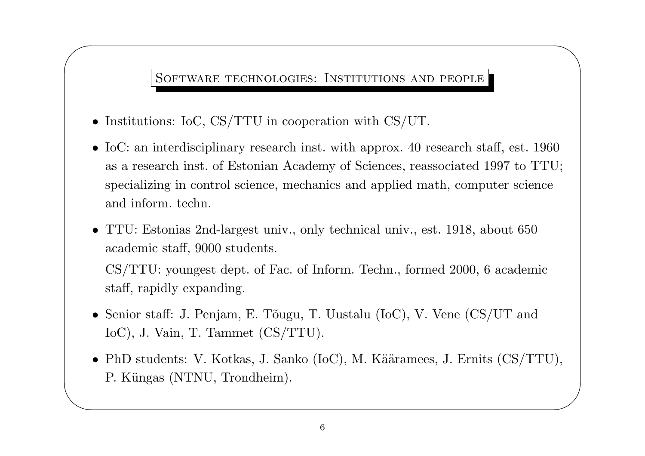#### SOFTWARE TECHNOLOGIES: INSTITUTIONS AND PEOPLE

 $\bigwedge$ 

• Institutions: IoC, CS/TTU in cooperation with CS/UT.

 $\sqrt{2}$ 

 $\setminus$ 

- IoC: an interdisciplinary research inst. with approx. 40 research staff, est. 1960 as <sup>a</sup> research inst. of Estonian Academy of Sciences, reassociated 1997 to TTU; specializing in control science, mechanics and applied math, computer science and inform. techn.
- TTU: Estonias 2nd-largest univ., only technical univ., est. 1918, about 650 academic staff, 9000 students.

CS/TTU: youngest dept. of Fac. of Inform. Techn., formed 2000, <sup>6</sup> academic staff, rapidly expanding.

- Senior staff: J. Penjam, E. Tõugu, T. Uustalu (IoC), V. Vene  $\left(\frac{\text{CS}}{\text{UT}}\right)$  and IoC), J. Vain, T. Tammet (CS/TTU).
- $\bigvee$ • PhD students: V. Kotkas, J. Sanko (IoC), M. Kääramees, J. Ernits  $\text{(CS/TTU)}$ , P. Küngas (NTNU, Trondheim).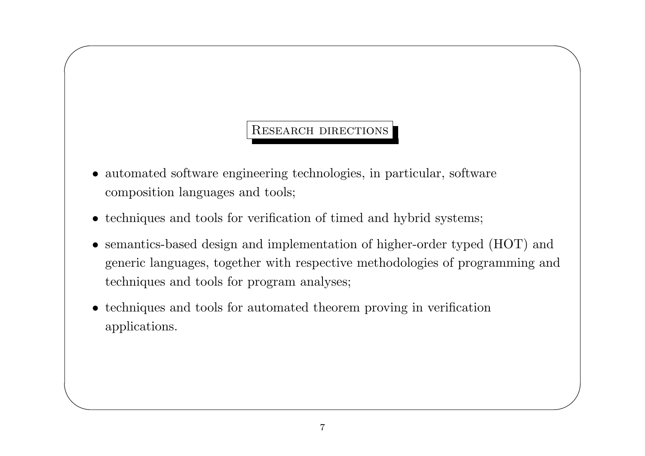#### **RESEARCH DIRECTIONS**

- automated software engineering technologies, in particular, software composition languages and tools;
- techniques and tools for verification of timed and hybrid systems;
- semantics-based design and implementation of higher-order typed (HOT) and generic languages, together with respective methodologies of programming and techniques and tools for program analyses;
- techniques and tools for automated theorem proving in verification applications.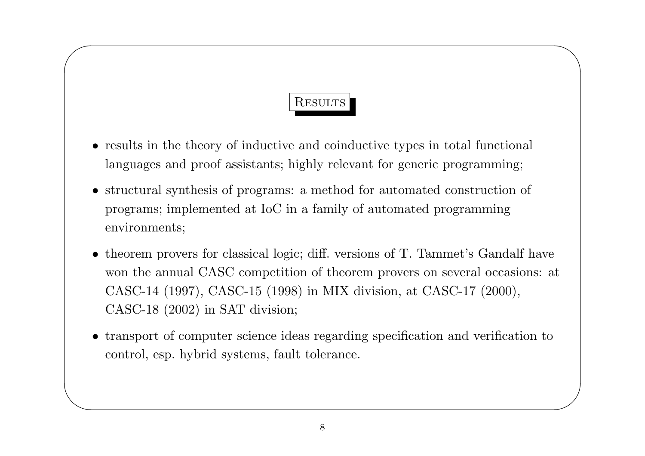# RESULTS

 $\bigwedge$ 

 $\bigvee$ 

 $\sqrt{2}$ 

- results in the theory of inductive and coinductive types in total functional languages and proof assistants; highly relevant for generic programming;
- structural synthesis of programs: <sup>a</sup> method for automated construction of programs; implemented at IoC in <sup>a</sup> family of automated programming environments;
- theorem provers for classical logic; diff. versions of T. Tammet's Gandalf have won the annual CASC competition of theorem provers on several occasions: at CASC-14 (1997), CASC-15 (1998) in MIX division, at CASC-17 (2000), CASC-18 (2002) in SAT division;
- transport of computer science ideas regarding specification and verification to control, esp. hybrid systems, fault tolerance.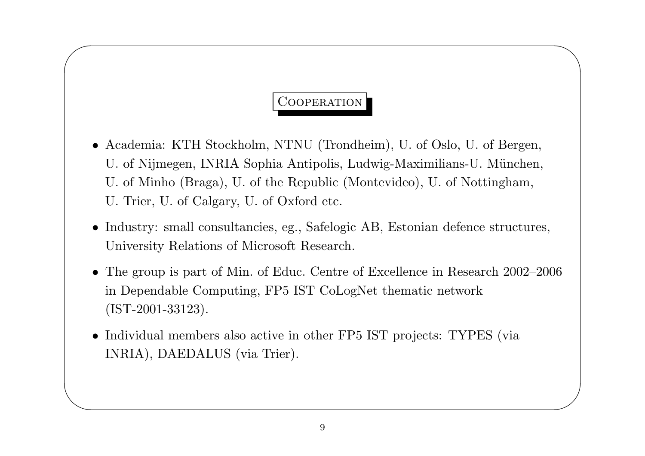# COOPERATION

 $\bigwedge$ 

 $\bigvee$ 

 $\sqrt{2}$ 

- Academia: KTH Stockholm, NTNU (Trondheim), U. of Oslo, U. of Bergen, U. of Nijmegen, INRIA Sophia Antipolis, Ludwig-Maximilians-U. München, U. of Minho (Braga), U. of the Republic (Montevideo), U. of Nottingham, U. Trier, U. of Calgary, U. of Oxford etc.
- Industry: small consultancies, eg., Safelogic AB, Estonian defence structures, University Relations of Microsoft Research.
- The group is part of Min. of Educ. Centre of Excellence in Research 2002–2006 in Dependable Computing, FP5 IST CoLogNet thematic network (IST-2001-33123).
- Individual members also active in other FP5 IST projects: TYPES (via INRIA), DAEDALUS (via Trier).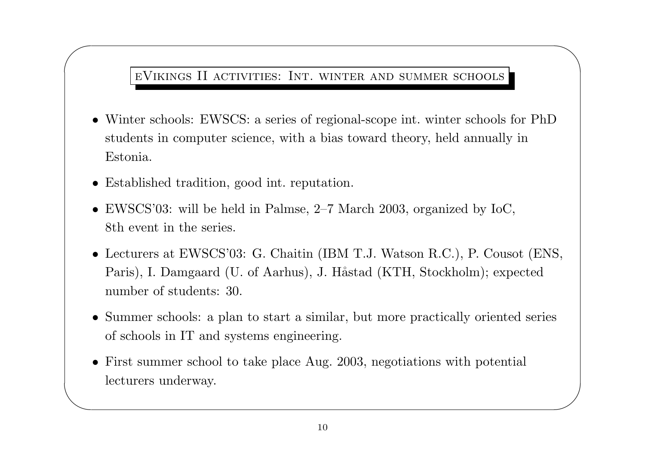eVikings II activities: Int. winter and summer schools

 $\bigwedge$ 

 $\bigvee$ 

- Winter schools: EWSCS: <sup>a</sup> series of regional-scope int. winter schools for PhD students in computer science, with <sup>a</sup> bias toward theory, held annually in Estonia.
- Established tradition, good int. reputation.

 $\sqrt{2}$ 

- EWSCS'03: will be held in Palmse, 2–7 March 2003, organized by IoC, 8th event in the series.
- Lecturers at EWSCS'03: G. Chaitin (IBM T.J. Watson R.C.), P. Cousot (ENS, Paris), I. Damgaard (U. of Aarhus), J. Håstad (KTH, Stockholm); expected number of students: 30.
- Summer schools: <sup>a</sup> <sup>p</sup>lan to start <sup>a</sup> similar, but more practically oriented series of schools in IT and systems engineering.
- First summer school to take <sup>p</sup>lace Aug. 2003, negotiations with potential lecturers underway.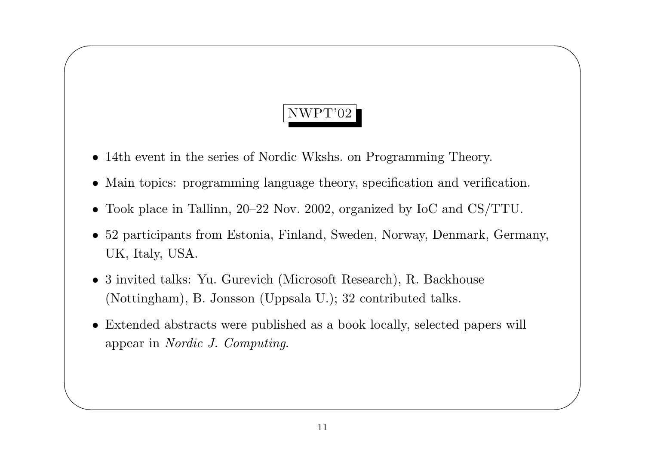# NWPT'02

 $\bigwedge$ 

 $\bigvee$ 

• 14th event in the series of Nordic Wkshs. on Programming Theory.

 $\sqrt{2}$ 

- Main topics: programming language theory, specification and verification.
- Took <sup>p</sup>lace in Tallinn, 20–22 Nov. 2002, organized by IoC and CS/TTU.
- 52 participants from Estonia, Finland, Sweden, Norway, Denmark, Germany, UK, Italy, USA.
- <sup>3</sup> invited talks: Yu. Gurevich (Microsoft Research), R. Backhouse (Nottingham), B. Jonsson (Uppsala U.); <sup>32</sup> contributed talks.
- Extended abstracts were published as <sup>a</sup> book locally, selected papers will appear in Nordic J. Computing.